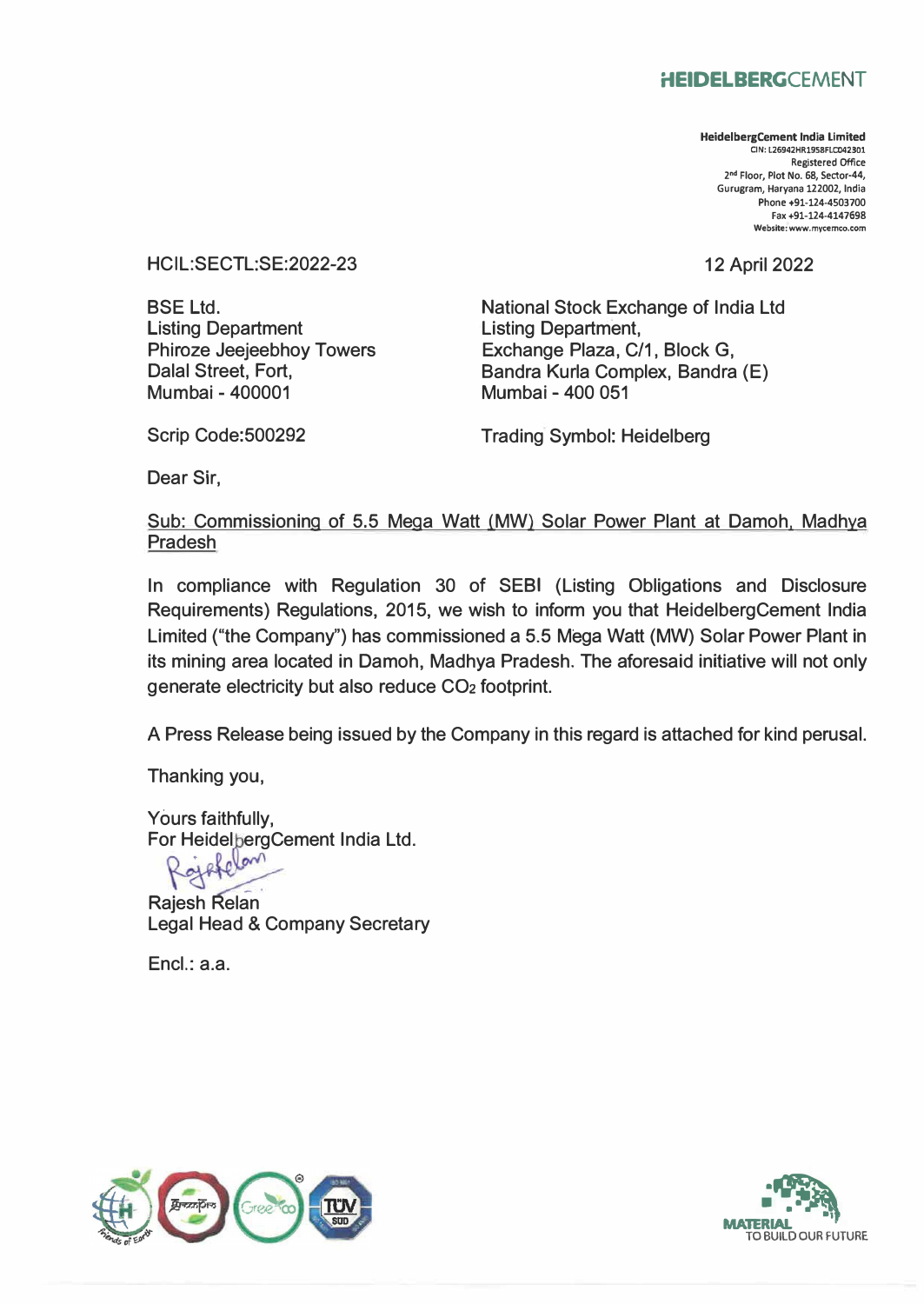## **HEIDELBERGCEMENT**

**HeidelbergCement India Limited □N: L26942HR1958FLC042301 Registered Office 2 nd Floor, Plot No. 68, Sector-44, Gurugram, Haryana 122002, India Phone +91-124-4503700 Fax +91-124-4147698 Website: www.mycemco.com** 

12 April 2022

HCIL:SECTL:SE:2022-23

BSE Ltd. Listing Department Phiroze Jeejeebhoy Towers Dalal Street, Fort, Mumbai - 400001

National Stock Exchange of India Ltd Listing Department, Exchange Plaza, C/1, Block G, Bandra Kurla Complex, Bandra (E) Mumbai - 400 051

Scrip Code:500292

Trading Symbol: Heidelberg

Dear Sir,

Sub: Commissioning of 5.5 Mega Watt (MW) Solar Power Plant at Damoh, Madhya Pradesh

In compliance with Regulation 30 of SEBI (Listing Obligations and Disclosure Requirements) Regulations, 2015, we wish to inform you that HeidelbergCement India Limited ("the Company") has commissioned a 5.5 Mega Watt (MW) Solar Power Plant in its mining area located in Damoh, Madhya Pradesh. The aforesaid initiative will not only generate electricity but also reduce CO2 footprint.

A Press Release being issued by the Company in this regard is attached for kind perusal.

Thanking you,

Yours faithfully, For HeidelbergCement India Ltd.

 $\sim$ 

Rajesh Relan Legal Head & Company Secretary

Encl.: a.a.